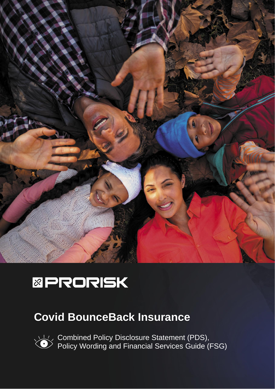

# **&PRORISK**

## **Covid BounceBack Insurance**

Combined Policy Disclosure Statement (PDS), Policy Wording and Financial Services Guide (FSG)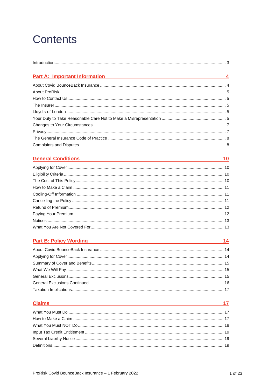## **Contents**

| <b>Part A: Important Information</b><br>$\overline{\phantom{a}4}$ |  |
|-------------------------------------------------------------------|--|
|                                                                   |  |
|                                                                   |  |
|                                                                   |  |
|                                                                   |  |
|                                                                   |  |
|                                                                   |  |
|                                                                   |  |
|                                                                   |  |
|                                                                   |  |
|                                                                   |  |
|                                                                   |  |

## Ceneral Conditions 10

## Part B: Policy Wording 2012 14

## <u>Claims and the community of the community of the community of the community of the community of the community of the community of the community of the community of the community of the community of the community of the co</u>

 $\frac{17}{2}$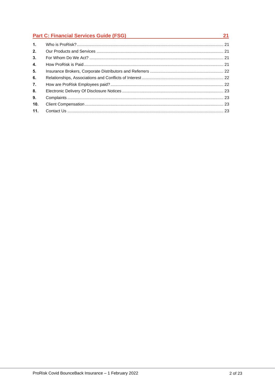|                | <b>Part C: Financial Services Guide (FSG)</b><br><u> 1980 - Johann Stein, mars an deus Amerikaansk kommunister (</u> |  |  |
|----------------|----------------------------------------------------------------------------------------------------------------------|--|--|
| $\mathbf{1}$ . |                                                                                                                      |  |  |
| 2.             |                                                                                                                      |  |  |
| 3.             |                                                                                                                      |  |  |
| 4.             |                                                                                                                      |  |  |
| 5.             |                                                                                                                      |  |  |
| 6.             |                                                                                                                      |  |  |
| 7.             |                                                                                                                      |  |  |
| 8.             |                                                                                                                      |  |  |
| 9.             |                                                                                                                      |  |  |
| 10.            |                                                                                                                      |  |  |
| 11.            |                                                                                                                      |  |  |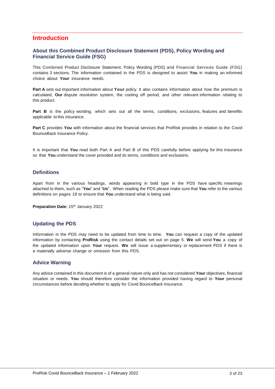#### <span id="page-3-0"></span>**Introduction**

#### **About this Combined Product Disclosure Statement (PDS), Policy Wording and Financial Service Guide (FSG)**

This Combined Product Disclosure Statement, Policy Wording (PDS) and Financial Services Guide (FSG) contains 3 sections. The information contained in the PDS is designed to assist **You** in making an informed choice about **Your** insurance needs.

**Part A** sets out important information about **Your** policy. It also contains information about how the premium is calculated, **Our** dispute resolution system, the cooling off period, and other relevant information relating to this product.

**Part B** is the policy wording, which sets out all the terms, conditions, exclusions, features and benefits applicable to this insurance.

**Part C** provides **You** with information about the financial services that ProRisk provides in relation to the Covid BounceBack Insurance Policy.

It is important that **You** read both Part A and Part B of this PDS carefully before applying for this insurance so that **You** understand the cover provided and its terms, conditions and exclusions.

#### **Definitions**

Apart from in the various headings, words appearing in bold type in the PDS have specific meanings attached to them, such as "**You**" and "**Us**". When reading the PDS please make sure that **You** refer to the various definitions on pages 18 to ensure that **You** understand what is being said.

Preparation Date: 15<sup>th</sup> January 2022

#### **Updating the PDS**

Information in the PDS may need to be updated from time to time. **You** can request a copy of the updated information by contacting **ProRisk** using the contact details set out on page 5. **We** will send **You** a copy of the updated information upon **Your** request. **We** will issue a supplementary or replacement PDS if there is a materially adverse change or omission from this PDS.

#### **Advice Warning**

Any advice contained in this document is of a general nature only and has not considered **Your** objectives, financial situation or needs. **You** should therefore consider the information provided having regard to **Your** personal circumstances before deciding whether to apply for Covid BounceBack Insurance.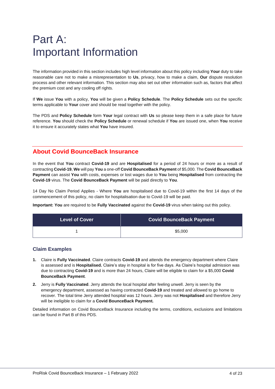## <span id="page-4-0"></span>Part A: Important Information

The information provided in this section includes high level information about this policy including **Your** duty to take reasonable care not to make a misrepresentation to **Us**, privacy, how to make a claim, **Our** dispute resolution process and other relevant information. This section may also set out other information such as, factors that affect the premium cost and any cooling off rights.

If **We** issue **You** with a policy, **You** will be given a **Policy Schedule**. The **Policy Schedule** sets out the specific terms applicable to **Your** cover and should be read together with the policy.

The PDS and **Policy Schedule** form **Your** legal contract with **Us** so please keep them in a safe place for future reference. **You** should check the **Policy Schedule** or renewal schedule if **You** are issued one, when **You** receive it to ensure it accurately states what **You** have insured.

## <span id="page-4-1"></span>**About Covid BounceBack Insurance**

In the event that **You** contract **Covid-19** and are **Hospitalised** for a period of 24 hours or more as a result of contracting **Covid-19**, **We** will pay **You** a one-off **Covid BounceBack Payment** of \$5,000. The **Covid BounceBack Payment** can assist **You** with costs, expenses or lost wages due to **You** being **Hospitalised** from contracting the **Covid-19** virus. The **Covid BounceBack Payment** will be paid directly to **You**.

14 Day No Claim Period Applies - Where **You** are hospitalised due to Covid-19 within the first 14 days of the commencement of this policy, no claim for hospitalisation due to Covid-19 will be paid.

**Important: You** are required to be **Fully Vaccinated** against the **Covid-19** virus when taking out this policy.

| Level of Cover | <b>Covid BounceBack Payment</b> |
|----------------|---------------------------------|
|                | \$5,000                         |

#### **Claim Examples**

- **1.** Claire is **Fully Vaccinated**. Claire contracts **Covid-19** and attends the emergency department where Claire is assessed and is **Hospitalised.** Claire's stay in hospital is for five days. As Claire's hospital admission was due to contracting **Covid-19** and is more than 24 hours, Claire will be eligible to claim for a \$5,000 **Covid BounceBack Payment**.
- **2.** Jerry is **Fully Vaccinated**. Jerry attends the local hospital after feeling unwell. Jerry is seen by the emergency department, assessed as having contracted **Covid-19** and treated and allowed to go home to recover. The total time Jerry attended hospital was 12 hours. Jerry was not **Hospitalised** and therefore Jerry will be ineligible to claim for a **Covid BounceBack Payment.**

Detailed information on Covid BounceBack Insurance including the terms, conditions, exclusions and limitations can be found in Part B of this PDS.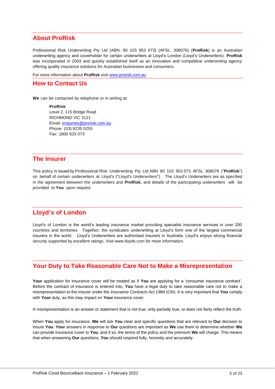## <span id="page-5-0"></span>**About ProRisk**

Professional Risk Underwriting Pty Ltd (ABN: 80 103 953 073) (AFSL: 308076) (**ProRisk**) is an Australian underwriting agency and coverholder for certain underwriters at Lloyd's London (Lloyd's Underwriters). **ProRisk**  was incorporated in 2003 and quickly established itself as an innovative and competitive underwriting agency offering quality insurance solutions for Australian businesses and consumers.

For more information about **ProRisk** visi[t www.prorisk.com.au](http://www.prorisk.com.au/)

#### <span id="page-5-1"></span>**How to Contact Us**

**We** can be contacted by telephone or in writing at:

**ProRisk** Level 2, 115 Bridge Road RICHMOND VIC 3121 Email: [enquiries@prorisk.com.au](mailto:enquiries@prorisk.com.au)  Phone: (03) 9235 5255 Fax: 1800 633 073

### <span id="page-5-2"></span>**The Insurer**

This policy is issued by Professional Risk Underwriting Pty Ltd ABN 80 103 953 073 AFSL 308076 ("**ProRisk**") on behalf of certain underwriters at Lloyd's ("Lloyd's Underwriters"). The Lloyd's Underwriters are as specified in the agreement between the underwriters and **ProRisk**, and details of the participating underwriters will be provided to **You** upon request.

## <span id="page-5-3"></span>**Lloyd's of London**

Lloyd's of London is the world's leading insurance market providing specialist insurance services in over 200 countries and territories. Together, the syndicates underwriting at Lloyd's form one of the largest commercial insurers in the world. Lloyd's Underwriters are authorised insurers in Australia. Lloyd's enjoys strong financial security supported by excellent ratings. Visit www.lloyds.com for more information*.*

### <span id="page-5-4"></span>**Your Duty to Take Reasonable Care Not to Make a Misrepresentation**

**Your** application for insurance cover will be treated as if **You** are applying for a 'consumer insurance contract'. Before the contract of insurance is entered into, **You** have a legal duty to take reasonable care not to make a misrepresentation to the insurer under the *Insurance Contracts Act 1984* (Cth). It is very important that **You** comply with **Your** duty, as this may impact on **Your** insurance cover.

A misrepresentation is an answer or statement that is not true, only partially true, or does not fairly reflect the truth.

When **You** apply for insurance, **We** will ask **You** clear and specific questions that are relevant to **Our** decision to insure **You**. **Your** answers in response to **Our** questions are important as **We** use them to determine whether **We** can provide insurance cover to **You**, and if so, the terms of the policy and the premium **We** will charge. This means that when answering **Our** questions, **You** should respond fully, honestly and accurately.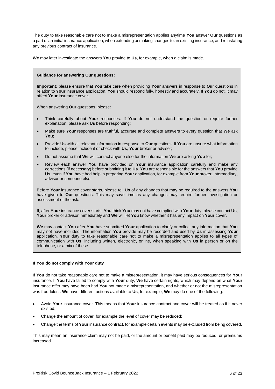The duty to take reasonable care not to make a misrepresentation applies anytime **You** answer **Our** questions as a part of an initial insurance application, when extending or making changes to an existing insurance, and reinstating any previous contract of insurance.

**We** may later investigate the answers **You** provide to **Us**, for example, when a claim is made.

#### **Guidance for answering Our questions:**

**Important:** please ensure that **You** take care when providing **Your** answers in response to **Our** questions in relation to **Your** insurance application. **You** should respond fully, honestly and accurately. If **You** do not, it may affect **Your** insurance cover.

When answering **Our** questions, please:

- Think carefully about **Your** responses. If **You** do not understand the question or require further explanation, please ask **Us** before responding;
- Make sure **Your** responses are truthful, accurate and complete answers to every question that **We** ask **You**;
- Provide **Us** with all relevant information in response to **Our** questions. If **You** are unsure what information to include, please include it or check with **Us**, **Your** broker or adviser;
- Do not assume that **We** will contact anyone else for the information **We** are asking **You** for;
- Review each answer **You** have provided on **Your** insurance application carefully and make any corrections (if necessary) before submitting it to **Us**. **You** are responsible for the answers that **You** provide **Us**, even if **You** have had help in preparing **Your** application, for example from **Your** broker, intermediary, advisor or someone else.

Before **Your** insurance cover starts, please tell **Us** of any changes that may be required to the answers **You** have given to **Our** questions. This may save time as any changes may require further investigation or assessment of the risk.

If, after **Your** insurance cover starts, **You** think **You** may not have complied with **Your** duty, please contact **Us**, **Your** broker or advisor immediately and **We** will let **You** know whether it has any impact on **Your** cover.

**We** may contact **You** after **You** have submitted **Your** application to clarify or collect any information that **You** may not have included. The information **You** provide may be recorded and used by **Us** in assessing **Your** application. **Your** duty to take reasonable care not to make a misrepresentation applies to all types of communication with **Us**, including written, electronic, online, when speaking with **Us** in person or on the telephone, or a mix of these.

#### **If You do not comply with Your duty**

If **You** do not take reasonable care not to make a misrepresentation, it may have serious consequences for **Your** insurance. If **You** have failed to comply with **Your** duty, **We** have certain rights, which may depend on what **Your** insurance offer may have been had **You** not made a misrepresentation, and whether or not the misrepresentation was fraudulent. **We** have different actions available to **Us**, for example, **We** may do one of the following:

- Avoid **Your** insurance cover. This means that **Your** insurance contract and cover will be treated as if it never existed;
- Change the amount of cover, for example the level of cover may be reduced;
- Change the terms of **Your** insurance contract, for example certain events may be excluded from being covered.

This may mean an insurance claim may not be paid, or the amount or benefit paid may be reduced, or premiums increased.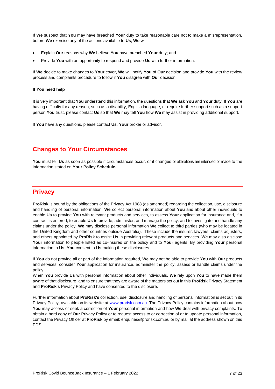If **We** suspect that **You** may have breached **Your** duty to take reasonable care not to make a misrepresentation, before **We** exercise any of the actions available to **Us**, **We** will:

- Explain **Our** reasons why **We** believe **You** have breached **Your** duty; and
- Provide **You** with an opportunity to respond and provide **Us** with further information.

If **We** decide to make changes to **Your** cover, **We** will notify **You** of **Our** decision and provide **You** with the review process and complaints procedure to follow if **You** disagree with **Our** decision.

#### **If You need help**

It is very important that **You** understand this information, the questions that **We** ask **You** and **Your** duty. If **You** are having difficulty for any reason, such as a disability, English language, or require further support such as a support person **You** trust, please contact **Us** so that **We** may tell **You** how **We** may assist in providing additional support.

If **You** have any questions, please contact **Us**, **Your** broker or advisor.

## <span id="page-7-0"></span>**Changes to Your Circumstances**

**You** must tell **Us** as soon as possible if circumstances occur, or if changes or alterations are intended or made to the information stated on **Your Policy Schedule.**

### <span id="page-7-1"></span>**Privacy**

**ProRisk** is bound by the obligations of the Privacy Act 1988 (as amended) regarding the collection, use, disclosure and handling of personal information. **We** collect personal information about **You** and about other individuals to enable **Us** to provide **You** with relevant products and services, to assess **Your** application for insurance and, if a contract is entered, to enable **Us** to provide, administer, and manage the policy, and to investigate and handle any claims under the policy. **We** may disclose personal information **We** collect to third parties (who may be located in the United Kingdom and other countries outside Australia). These include the insurer, lawyers, claims adjusters, and others appointed by **ProRisk** to assist **Us** in providing relevant products and services. **We** may also disclose **Your** information to people listed as co-insured on the policy and to **Your** agents. By providing **Your** personal information to **Us**, **You** consent to **Us** making these disclosures.

If **You** do not provide all or part of the information required, **We** may not be able to provide **You** with **Our** products and services, consider **Your** application for insurance, administer the policy, assess or handle claims under the policy.

When **You** provide **Us** with personal information about other individuals, **We** rely upon **You** to have made them aware of that disclosure, and to ensure that they are aware of the matters set out in this **ProRisk** Privacy Statement and **ProRisk's** Privacy Policy and have consented to the disclosure.

Further information about **ProRisk's** collection, use, disclosure and handling of personal information is set out in its Privacy Policy, available on its website at [www.prorisk.com.au](http://www.prorisk.com.au/) The Privacy Policy contains information about how **You** may access or seek a correction of **Your** personal information and how **We** deal with privacy complaints. To obtain a hard copy of **Our** Privacy Policy or to request access to or correction of or to update personal information, contact the Privacy Officer at **ProRisk** by email: enquiries@prorisk.com.au or by mail at the address shown on this PDS.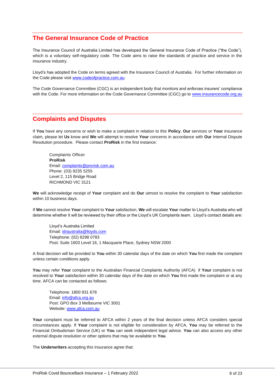### <span id="page-8-0"></span>**The General Insurance Code of Practice**

The Insurance Council of Australia Limited has developed the General Insurance Code of Practice ("the Code"), which is a voluntary self-regulatory code. The Code aims to raise the standards of practice and service in the insurance industry.

Lloyd's has adopted the Code on terms agreed with the Insurance Council of Australia. For further information on the Code please visit [www.codeofpractice.com.au.](https://urldefense.proofpoint.com/v2/url?u=http-3A__www.codeofpractice.com.au&d=DwMFAg&c=ZnH9XQkNJ63hboBolvM4BvMHpqa6cbGvlWggJ5lnW8w&r=iXadECH1cSW41dbCGrm9bTjGoX5Qe5OShsuNZnzk99Q&m=vuqWIRW974ACcDkF_T8B91F40o0XlpksAS_dnh3DPNQ&s=DJTZIATYxEvrumnxo-XIfq89mdukcNeelXGnds7jTs4&e=)

The Code Governance Committee (CGC) is an independent body that monitors and enforces insurers' compliance with the Code. For more information on the Code Governance Committee (CGC) go to [www.insurancecode.org.au](http://www.insurancecode.org.au/)

#### <span id="page-8-1"></span>**Complaints and Disputes**

If **You** have any concerns or wish to make a complaint in relation to this **Policy**, **Our** services or **Your** insurance claim, please let **Us** know and **We** will attempt to resolve **Your** concerns in accordance with **Our** Internal Dispute Resolution procedure. Please contact **ProRisk** in the first instance:

Complaints Officer **ProRisk** Email: [complaints@prorisk.com.au](mailto:complaints@prorisk.com.au) Phone: (03) 9235 5255 Level 2, 115 Bridge Road RICHMOND VIC 3121

**We** will acknowledge receipt of **Your** complaint and do **Our** utmost to resolve the complaint to **Your** satisfaction within 10 business days.

If **We** cannot resolve **Your** complaint to **Your** satisfaction, **We** will escalate **You**r matter to Lloyd's Australia who will determine whether it will be reviewed by their office or the Lloyd's UK Complaints team. Lloyd's contact details are:

Lloyd's Australia Limited Email: [idraustralia@lloyds.com](mailto:idraustralia@lloyds.com) Telephone: (02) 8298 0783 Post: Suite 1603 Level 16, 1 Macquarie Place, Sydney NSW 2000

A final decision will be provided to **You** within 30 calendar days of the date on which **You** first made the complaint unless certain conditions apply.

**You** may refer **Your** complaint to the Australian Financial Complaints Authority (AFCA) if **Your** complaint is not resolved to **Your** satisfaction within 30 calendar days of the date on which **You** first made the complaint or at any time. AFCA can be contacted as follows:

Telephone: 1800 931 678 Email: [info@afca.org.au](mailto:info@afca.org.au) Post: GPO Box 3 Melbourne VIC 3001 Website[: www.afca.com.au](http://www.afca.com.au/)

Your complaint must be referred to AFCA within 2 years of the final decision unless AFCA considers special circumstances apply. If **Your** complaint is not eligible for consideration by AFCA, **You** may be referred to the Financial Ombudsman Service (UK) or **You** can seek independent legal advice. **You** can also access any other external dispute resolution or other options that may be available to **You**.

The **Underwriters** accepting this Insurance agree that: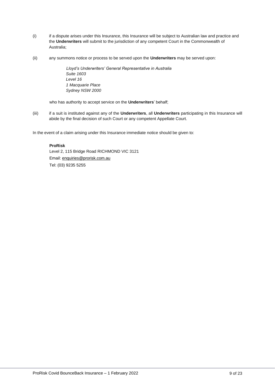- (i) if a dispute arises under this Insurance, this Insurance will be subject to Australian law and practice and the **Underwriters** will submit to the jurisdiction of any competent Court in the Commonwealth of Australia;
- (ii) any summons notice or process to be served upon the **Underwriters** may be served upon:

*Lloyd's Underwriters' General Representative in Australia Suite 1603 Level 16 1 Macquarie Place Sydney NSW 2000*

who has authority to accept service on the **Underwriters**' behalf;

(iii) if a suit is instituted against any of the **Underwriters**, all **Underwriters** participating in this Insurance will abide by the final decision of such Court or any competent Appellate Court.

In the event of a claim arising under this Insurance immediate notice should be given to:

#### **ProRisk**

Level 2, 115 Bridge Road RICHMOND VIC 3121 Email: [enquiries@prorisk.com.au](mailto:enquiries@prorisk.com.au) Tel: (03) 9235 5255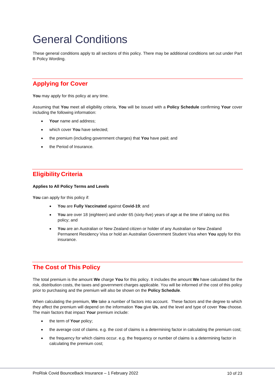## <span id="page-10-0"></span>General Conditions

These general conditions apply to all sections of this policy. There may be additional conditions set out under Part B Policy Wording.

## <span id="page-10-1"></span>**Applying for Cover**

You may apply for this policy at any time.

Assuming that **You** meet all eligibility criteria, **You** will be issued with a **Policy Schedule** confirming **Your** cover including the following information:

- Your name and address;
- which cover **You** have selected;
- the premium (including government charges) that **You** have paid; and
- the Period of Insurance.

## <span id="page-10-2"></span>**Eligibility Criteria**

#### **Applies to All Policy Terms and Levels**

You can apply for this policy if:

- **You** are **Fully Vaccinated** against **Covid-19**; and
- **You** are over 18 (eighteen) and under 65 (sixty-five) years of age at the time of taking out this policy; and
- **You** are an Australian or New Zealand citizen or holder of any Australian or New Zealand Permanent Residency Visa or hold an Australian Government Student Visa when **You** apply for this insurance.

## <span id="page-10-3"></span>**The Cost of This Policy**

The total premium is the amount **We** charge **You** for this policy. It includes the amount **We** have calculated for the risk, distribution costs, the taxes and government charges applicable. You will be informed of the cost of this policy prior to purchasing and the premium will also be shown on the **Policy Schedule**.

When calculating the premium, **We** take a number of factors into account. These factors and the degree to which they affect the premium will depend on the information **You** give **Us**, and the level and type of cover **You** choose. The main factors that impact **Your** premium include:

- the term of **Your** policy;
- the average cost of claims. e.g. the cost of claims is a determining factor in calculating the premium cost;
- the frequency for which claims occur. e.g. the frequency or number of claims is a determining factor in calculating the premium cost;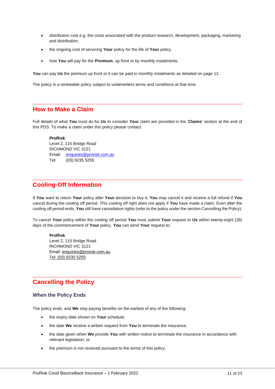- distribution cost e.g. the costs associated with the product research, development, packaging, marketing and distribution;
- the ongoing cost of servicing **Your** policy for the life of **Your** policy.
- how **You** will pay for the **Premium**, up front or by monthly instalments.

**You** can pay **Us** the premium up front or it can be paid in monthly instalments as detailed on page 12.

The policy is a renewable policy subject to underwriters terms and conditions at that time.

#### <span id="page-11-0"></span>**How to Make a Claim**

Full details of what **You** must do for **Us** to consider **Your** claim are provided in the '**Claims**' section at the end of this PDS. To make a claim under this policy please contact:

**ProRisk**

Level 2, 115 Bridge Road RICHMOND VIC 3121 Email: [enquiries@prorisk.com.au](mailto:enquiries@prorisk.com.au) Tel: (03) 9235 5255

### <span id="page-11-1"></span>**Cooling-Off Information**

If **You** want to return **Your** policy after **Your** decision to buy it, **You** may cancel it and receive a full refund if **You** cancel during the cooling off period. This cooling off right does not apply if **You** have made a claim. Even after the cooling off period ends, **You** still have cancellation rights (refer to the policy under the section Cancelling the Policy).

To cancel **Your** policy within the cooling off period **You** must submit **Your** request to **Us** within twenty-eight (28) days of the commencement of **Your** policy. **You** can send **Your** request to:

**ProRisk** Level 2, 115 Bridge Road RICHMOND VIC 3121 Email: [enquiries@prorisk.com.au](mailto:enquiries@prorisk.com.au) Tel: (03) 9235 5255

### <span id="page-11-2"></span>**Cancelling the Policy**

#### **When the Policy Ends**

The policy ends, and **We** stop paying benefits on the earliest of any of the following:

- the expiry date shown on **Your** schedule;
- the date **We** receive a written request from **You** to terminate the insurance;
- the date given when **We** provide **You** with written notice to terminate the insurance in accordance with relevant legislation; or
- the premium is not received pursuant to the terms of this policy.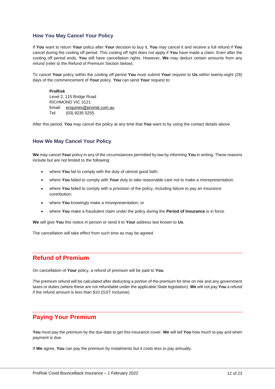#### **How You May Cancel Your Policy**

If **You** want to return **Your** policy after **Your** decision to buy it, **You** may cancel it and receive a full refund if **You** cancel during the cooling off period. This cooling off right does not apply if **You** have made a claim. Even after the cooling off period ends, **You** still have cancellation rights. However, **We** may deduct certain amounts from any refund (refer to the Refund of Premium Section below).

To cancel **Your** policy within the cooling off period **You** must submit **Your** request to **Us** within twenty-eight (28) days of the commencement of **Your** policy. **You** can send **Your** request to:

#### **ProRisk**

Level 2, 115 Bridge Road RICHMOND VIC 3121 Email: [enquiries@prorisk.com.au](mailto:enquiries@prorisk.com.au) Tel: (03) 9235 5255

After this period, **You** may cancel the policy at any time that **You** want to by using the contact details above.

#### **How We May Cancel Your Policy**

**We** may cancel **Your** policy in any of the circumstances permitted by law by informing **You** in writing. These reasons include but are not limited to the following:

- where **You** fail to comply with the duty of utmost good faith;
- where **You** failed to comply with **Your** duty to take reasonable care not to make a misrepresentation;
- where **You** failed to comply with a provision of the policy, including failure to pay an insurance contribution;
- where **You** knowingly make a misrepresentation; or
- where **You** make a fraudulent claim under the policy during the **Period of Insurance** is in force.

**We** will give **You** this notice in person or send it to **Your** address last known to **Us**.

The cancellation will take effect from such time as may be agreed.

### <span id="page-12-0"></span>**Refund of Premium**

On cancellation of **Your** policy, a refund of premium will be paid to **You**.

The premium refund will be calculated after deducting a portion of the premium for time on risk and any government taxes or duties (where these are not refundable under the applicable State legislation). **We** will not pay **You** a refund if the refund amount is less than \$10 (GST Inclusive)

## <span id="page-12-1"></span>**Paying Your Premium**

**You** must pay the premium by the due date to get this insurance cover. **We** will tell **You** how much to pay and when payment is due.

If **We** agree, **You** can pay the premium by instalments but it costs less to pay annually.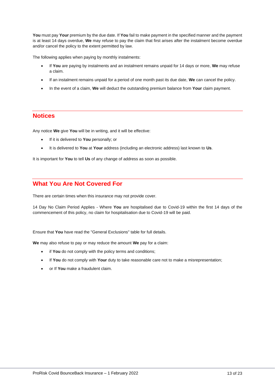**You** must pay **Your** premium by the due date. If **You** fail to make payment in the specified manner and the payment is at least 14 days overdue, **We** may refuse to pay the claim that first arises after the instalment become overdue and/or cancel the policy to the extent permitted by law.

The following applies when paying by monthly instalments:

- If **You** are paying by instalments and an instalment remains unpaid for 14 days or more, **We** may refuse a claim.
- If an instalment remains unpaid for a period of one month past its due date, **We** can cancel the policy.
- In the event of a claim, **We** will deduct the outstanding premium balance from **Your** claim payment.

#### <span id="page-13-0"></span>**Notices**

Any notice **We** give **You** will be in writing, and it will be effective:

- If it is delivered to **You** personally; or
- It is delivered to **You** at **Your** address (including an electronic address) last known to **Us**.

It is important for **You** to tell **Us** of any change of address as soon as possible.

### <span id="page-13-1"></span>**What You Are Not Covered For**

There are certain times when this insurance may not provide cover.

14 Day No Claim Period Applies - Where **You** are hospitalised due to Covid-19 within the first 14 days of the commencement of this policy, no claim for hospitalisation due to Covid-19 will be paid.

Ensure that **You** have read the "General Exclusions" table for full details.

**We** may also refuse to pay or may reduce the amount **We** pay for a claim:

- if **You** do not comply with the policy terms and conditions;
- If **You** do not comply with **Your** duty to take reasonable care not to make a misrepresentation;
- or If **You** make a fraudulent claim.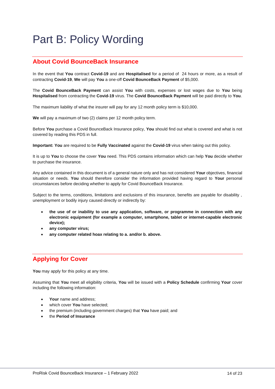## <span id="page-14-0"></span>Part B: Policy Wording

## <span id="page-14-1"></span>**About Covid BounceBack Insurance**

In the event that **You** contract **Covid-19** and are **Hospitalised** for a period of 24 hours or more, as a result of contracting **Covid-19**, **We** will pay **You** a one-off **Covid BounceBack Payment** of \$5,000.

The **Covid BounceBack Payment** can assist **You** with costs, expenses or lost wages due to **You** being **Hospitalised** from contracting the **Covid-19** virus. The **Covid BounceBack Payment** will be paid directly to **You**.

The maximum liability of what the insurer will pay for any 12 month policy term is \$10,000.

**We** will pay a maximum of two (2) claims per 12 month policy term.

Before **You** purchase a Covid BounceBack Insurance policy, **You** should find out what is covered and what is not covered by reading this PDS in full.

**Important: You** are required to be **Fully Vaccinated** against the **Covid-19** virus when taking out this policy.

It is up to **You** to choose the cover **You** need. This PDS contains information which can help **You** decide whether to purchase the insurance.

Any advice contained in this document is of a general nature only and has not considered **Your** objectives, financial situation or needs. **You** should therefore consider the information provided having regard to **Your** personal circumstances before deciding whether to apply for Covid BounceBack Insurance.

Subject to the terms, conditions, limitations and exclusions of this insurance, benefits are payable for disability , unemployment or bodily injury caused directly or indirectly by:

- **the use of or inability to use any application, software, or programme in connection with any electronic equipment (for example a computer, smartphone, tablet or internet-capable electronic device);**
- **any computer virus;**
- **any computer related hoax relating to a. and/or b. above.**

## <span id="page-14-2"></span>**Applying for Cover**

You may apply for this policy at any time.

Assuming that **You** meet all eligibility criteria, **You** will be issued with a **Policy Schedule** confirming **Your** cover including the following information:

- Your name and address;
- which cover **You** have selected;
- the premium (including government charges) that **You** have paid; and
- the **Period of Insurance**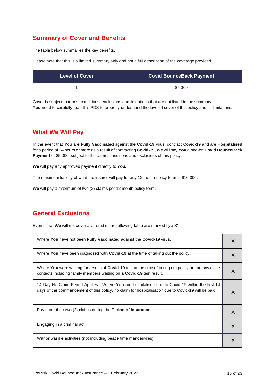## <span id="page-15-0"></span>**Summary of Cover and Benefits**

The table below summaries the key benefits.

Please note that this is a limited summary only and not a full description of the coverage provided.

| <b>Level of Cover</b> | <b>Covid BounceBack Payment</b> |
|-----------------------|---------------------------------|
|                       | \$5,000                         |

Cover is subject to terms, conditions, exclusions and limitations that are not listed in the summary. You need to carefully read this PDS to properly understand the level of cover of this policy and its limitations.

## <span id="page-15-1"></span>**What We Will Pay**

In the event that **You** are **Fully Vaccinated** against the **Covid-19** virus, contract **Covid-19** and are **Hospitalised** for a period of 24 hours or more as a result of contracting **Covid-19**, **We** will pay **You** a one-off **Covid BounceBack Payment** of \$5,000, subject to the terms, conditions and exclusions of this policy.

**We** will pay any approved payment directly to **You.**

The maximum liability of what the insurer will pay for any 12 month policy term is \$10,000.

**We** will pay a maximum of two (2) claims per 12 month policy term.

## <span id="page-15-2"></span>**General Exclusions**

Events that **We** will not cover are listed in the following table are marked by a **'X'.**

| Where You have not been Fully Vaccinated against the Covid-19 virus.                                                                                                                                   | X |
|--------------------------------------------------------------------------------------------------------------------------------------------------------------------------------------------------------|---|
| Where You have been diagnosed with Covid-19 at the time of taking out the policy.                                                                                                                      | X |
| Where You were waiting for results of Covid-19 test at the time of taking out policy or had any close<br>contacts including family members waiting on a <b>Covid-19</b> test result.                   | X |
| 14 Day No Claim Period Applies - Where You are hospitalised due to Covid-19 within the first 14<br>days of the commencement of this policy, no claim for hospitalisation due to Covid-19 will be paid. |   |
| Pay more than two (2) claims during the <b>Period of Insurance</b> .                                                                                                                                   | X |
| Engaging in a criminal act.                                                                                                                                                                            | X |
| War or warlike activities (not including peace time manoeuvres).                                                                                                                                       | X |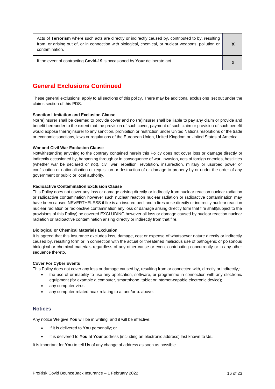| Acts of Terrorism where such acts are directly or indirectly caused by, contributed to by, resulting<br>from, or arising out of, or in connection with biological, chemical, or nuclear weapons, pollution or<br>contamination. |  |
|---------------------------------------------------------------------------------------------------------------------------------------------------------------------------------------------------------------------------------|--|
| If the event of contracting Covid-19 is occasioned by Your deliberate act.                                                                                                                                                      |  |

## <span id="page-16-0"></span>**General Exclusions Continued**

These general exclusions apply to all sections of this policy. There may be additional exclusions set out under the claims section of this PDS.

#### **Sanction Limitation and Exclusion Clause**

No(re)insurer shall be deemed to provide cover and no (re)insurer shall be liable to pay any claim or provide and benefit hereunder to the extent that the provision of such cover, payment of such claim or provision of such benefit would expose the(re)insurer to any sanction, prohibition or restriction under United Nations resolutions or the trade or economic sanctions, laws or regulations of the European Union, United Kingdom or United States of America.

#### **War and Civil War Exclusion Clause**

Notwithstanding anything to the contrary contained herein this Policy does not cover loss or damage directly or indirectly occasioned by, happening through or in consequence of war, invasion, acts of foreign enemies, hostilities (whether war be declared or not), civil war, rebellion, revolution, insurrection, military or usurped power or confiscation or nationalisation or requisition or destruction of or damage to property by or under the order of any government or public or local authority.

#### **Radioactive Contamination Exclusion Clause**

This Policy does not cover any loss or damage arising directly or indirectly from nuclear reaction nuclear radiation or radioactive contamination however such nuclear reaction nuclear radiation or radioactive contamination may have been caused NEVERTHELESS if fire is an insured peril and a fires arise directly or indirectly nuclear reaction nuclear radiation or radioactive contamination any loss or damage arising directly form that fire shall(subject to the provisions of this Policy) be covered EXCLUDING however all loss or damage caused by nuclear reaction nuclear radiation or radioactive contamination arising directly or indirectly from that fire.

#### **Biological or Chemical Materials Exclusion**

It is agreed that this Insurance excludes loss, damage, cost or expense of whatsoever nature directly or indirectly caused by, resulting form or in connection with the actual or threatened malicious use of pathogenic or poisonous biological or chemical materials regardless of any other cause or event contributing concurrently or in any other sequence thereto.

#### **Cover For Cyber Events**

This Policy does not cover any loss or damage caused by, resulting from or connected with, directly or indirectly,:

- the use of or inability to use any application, software, or programme in connection with any electronic equipment (for example a computer, smartphone, tablet or internet-capable electronic device);
- any computer virus;
- any computer related hoax relating to a. and/or b. above.

#### **Notices**

Any notice **We** give **You** will be in writing, and it will be effective:

- If it is delivered to **You** personally; or
- It is delivered to **You** at **Your** address (including an electronic address) last known to **Us**.

It is important for **You** to tell **Us** of any change of address as soon as possible.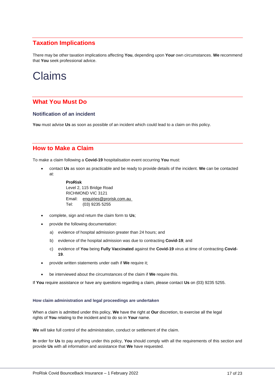## <span id="page-17-0"></span>**Taxation Implications**

There may be other taxation implications affecting **You**, depending upon **Your** own circumstances. **We** recommend that **You** seek professional advice.

## <span id="page-17-1"></span>Claims

### <span id="page-17-2"></span>**What You Must Do**

#### **Notification of an incident**

**You** must advise **Us** as soon as possible of an incident which could lead to a claim on this policy.

## <span id="page-17-3"></span>**How to Make a Claim**

To make a claim following a **Covid-19** hospitalisation event occurring **You** must:

• contact **Us** as soon as practicable and be ready to provide details of the incident. **We** can be contacted at:

#### **ProRisk** Level 2, 115 Bridge Road RICHMOND VIC 3121 Email: [enquiries@prorisk.com.au](mailto:enquiries@prorisk.com.au) Tel: (03) 9235 5255

- complete, sign and return the claim form to **Us**;
- provide the following documentation:
	- a) evidence of hospital admission greater than 24 hours; and
	- b) evidence of the hospital admission was due to contracting **Covid-19**; and
	- c) evidence of **You** being **Fully Vaccinated** against the **Covid-19** virus at time of contracting **Covid-19**.
- provide written statements under oath if **We** require it;
- be interviewed about the circumstances of the claim if **We** require this.

If **You** require assistance or have any questions regarding a claim, please contact **Us** on (03) 9235 5255.

#### **How claim administration and legal proceedings are undertaken**

When a claim is admitted under this policy, **We** have the right at **Our** discretion, to exercise all the legal rights of **You** relating to the incident and to do so in **Your** name.

**We** will take full control of the administration, conduct or settlement of the claim.

**In** order for **Us** to pay anything under this policy, **You** should comply with all the requirements of this section and provide **Us** with all information and assistance that **We** have requested.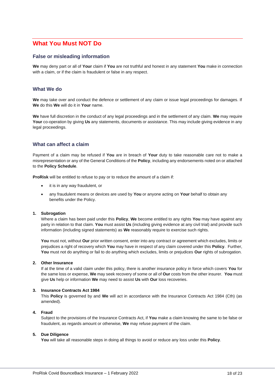## <span id="page-18-0"></span>**What You Must NOT Do**

#### **False or misleading information**

**We** may deny part or all of **Your** claim if **You** are not truthful and honest in any statement **You** make in connection with a claim, or if the claim is fraudulent or false in any respect.

#### **What We do**

**We** may take over and conduct the defence or settlement of any claim or issue legal proceedings for damages. If **We** do this **We** will do it in **Your** name.

**We** have full discretion in the conduct of any legal proceedings and in the settlement of any claim. **We** may require **Your** co-operation by giving **Us** any statements, documents or assistance. This may include giving evidence in any legal proceedings.

#### **What can affect a claim**

Payment of a claim may be refused if **You** are in breach of **Your** duty to take reasonable care not to make a misrepresentation or any of the General Conditions of the **Policy**, including any endorsements noted on or attached to the **Policy Schedule**.

**ProRisk** will be entitled to refuse to pay or to reduce the amount of a claim if:

- it is in any way fraudulent, or
- any fraudulent means or devices are used by **You** or anyone acting on **Your** behalf to obtain any benefits under the Policy.

#### **1. Subrogation**

Where a claim has been paid under this **Policy**, **We** become entitled to any rights **You** may have against any party in relation to that claim. **You** must assist **Us** (including giving evidence at any civil trial) and provide such information (including signed statements) as **We** reasonably require to exercise such rights.

**You** must not, without **Our** prior written consent, enter into any contract or agreement which excludes, limits or prejudices a right of recovery which **You** may have in respect of any claim covered under this **Policy**. Further, **You** must not do anything or fail to do anything which excludes, limits or prejudices **Our** rights of subrogation.

#### **2. Other Insurance**

If at the time of a valid claim under this policy, there is another insurance policy in force which covers **You** for the same loss or expense, **We** may seek recovery of some or all of **Our** costs from the other insurer. **You** must give **Us** help or information **We** may need to assist **Us** with **Our** loss recoveries.

#### **3. Insurance Contracts Act 1984**

This **Policy** is governed by and **We** will act in accordance with the Insurance Contracts Act 1984 (Cth) (as amended).

#### **4. Fraud**

Subject to the provisions of the Insurance Contracts Act, if **You** make a claim knowing the same to be false or fraudulent, as regards amount or otherwise, **We** may refuse payment of the claim.

#### **5. Due Diligence**

**You** will take all reasonable steps in doing all things to avoid or reduce any loss under this **Policy**.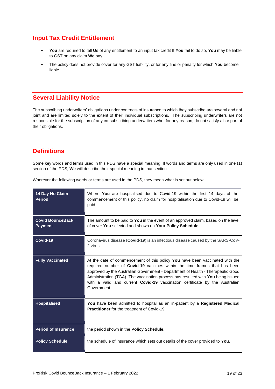### <span id="page-19-0"></span>**Input Tax Credit Entitlement**

- **You** are required to tell **Us** of any entitlement to an input tax credit If **You** fail to do so, **You** may be liable to GST on any claim **We** pay.
- The policy does not provide cover for any GST liability, or for any fine or penalty for which **You** become liable.

## <span id="page-19-1"></span>**Several Liability Notice**

The subscribing underwriters' obligations under contracts of insurance to which they subscribe are several and not joint and are limited solely to the extent of their individual subscriptions. The subscribing underwriters are not responsible for the subscription of any co-subscribing underwriters who, for any reason, do not satisfy all or part of their obligations.

## <span id="page-19-2"></span>**Definitions**

Some key words and terms used in this PDS have a special meaning. If words and terms are only used in one (1) section of the PDS, **We** will describe their special meaning in that section.

| 14 Day No Claim<br><b>Period</b>          | Where You are hospitalised due to Covid-19 within the first 14 days of the<br>commencement of this policy, no claim for hospitalisation due to Covid-19 will be<br>paid.                                                                                                                                                                                                                                                              |
|-------------------------------------------|---------------------------------------------------------------------------------------------------------------------------------------------------------------------------------------------------------------------------------------------------------------------------------------------------------------------------------------------------------------------------------------------------------------------------------------|
| <b>Covid BounceBack</b><br><b>Payment</b> | The amount to be paid to You in the event of an approved claim, based on the level<br>of cover You selected and shown on Your Policy Schedule.                                                                                                                                                                                                                                                                                        |
| Covid-19                                  | Coronavirus disease (Covid-19) is an infectious disease caused by the SARS-CoV-<br>2 virus.                                                                                                                                                                                                                                                                                                                                           |
| <b>Fully Vaccinated</b>                   | At the date of commencement of this policy You have been vaccinated with the<br>required number of Covid-19 vaccines within the time frames that has been<br>approved by the Australian Government - Department of Health - Therapeutic Good<br>Administration (TGA). The vaccination process has resulted with You being issued<br>with a valid and current <b>Covid-19</b> vaccination certificate by the Australian<br>Government. |
| <b>Hospitalised</b>                       | You have been admitted to hospital as an in-patient by a Registered Medical<br><b>Practitioner</b> for the treatment of Covid-19                                                                                                                                                                                                                                                                                                      |
| <b>Period of Insurance</b>                | the period shown in the Policy Schedule.                                                                                                                                                                                                                                                                                                                                                                                              |
| <b>Policy Schedule</b>                    | the schedule of insurance which sets out details of the cover provided to You.                                                                                                                                                                                                                                                                                                                                                        |

Wherever the following words or terms are used in the PDS, they mean what is set out below: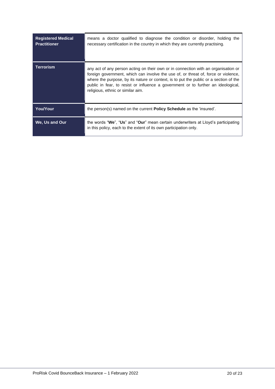| <b>Registered Medical</b><br><b>Practitioner</b> | means a doctor qualified to diagnose the condition or disorder, holding the<br>necessary certification in the country in which they are currently practising.                                                                                                                                                                                                                               |
|--------------------------------------------------|---------------------------------------------------------------------------------------------------------------------------------------------------------------------------------------------------------------------------------------------------------------------------------------------------------------------------------------------------------------------------------------------|
| <b>Terrorism</b>                                 | any act of any person acting on their own or in connection with an organisation or<br>foreign government, which can involve the use of, or threat of, force or violence,<br>where the purpose, by its nature or context, is to put the public or a section of the<br>public in fear, to resist or influence a government or to further an ideological,<br>religious, ethnic or similar aim. |
| You/Your                                         | the person(s) named on the current <b>Policy Schedule</b> as the 'insured'.                                                                                                                                                                                                                                                                                                                 |
| We. Us and Our                                   | the words "We", "Us" and "Our" mean certain underwriters at Lloyd's participating<br>in this policy, each to the extent of its own participation only.                                                                                                                                                                                                                                      |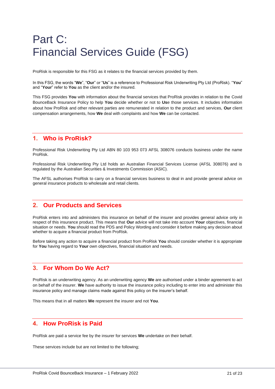## <span id="page-21-0"></span>Part C: Financial Services Guide (FSG)

ProRisk is responsible for this FSG as it relates to the financial services provided by them.

In this FSG, the words "**We**", "**Our**" or "**Us**" is a reference to Professional Risk Underwriting Pty Ltd (ProRisk). "**You**" and "**Your**" refer to **You** as the client and/or the insured.

This FSG provides **You** with information about the financial services that ProRisk provides in relation to the Covid BounceBack Insurance Policy to help **You** decide whether or not to **Us**e those services. It includes information about how ProRisk and other relevant parties are remunerated in relation to the product and services, **Our** client compensation arrangements, how **We** deal with complaints and how **We** can be contacted.

### <span id="page-21-1"></span>**1. Who is ProRisk?**

Professional Risk Underwriting Pty Ltd ABN 80 103 953 073 AFSL 308076 conducts business under the name ProRisk.

Professional Risk Underwriting Pty Ltd holds an Australian Financial Services License (AFSL 308076) and is regulated by the Australian Securities & Investments Commission (ASIC).

The AFSL authorises ProRisk to carry on a financial services business to deal in and provide general advice on general insurance products to wholesale and retail clients.

#### <span id="page-21-2"></span>**2. Our Products and Services**

ProRisk enters into and administers this insurance on behalf of the insurer and provides general advice only in respect of this insurance product. This means that **Our** advice will not take into account **Your** objectives, financial situation or needs. **You** should read the PDS and Policy Wording and consider it before making any decision about whether to acquire a financial product from ProRisk.

Before taking any action to acquire a financial product from ProRisk **You** should consider whether it is appropriate for **You** having regard to **Your** own objectives, financial situation and needs.

#### <span id="page-21-3"></span>**3. For Whom Do We Act?**

ProRisk is an underwriting agency. As an underwriting agency **We** are authorised under a binder agreement to act on behalf of the insurer. **We** have authority to issue the insurance policy including to enter into and administer this insurance policy and manage claims made against this policy on the insurer's behalf.

This means that in all matters **We** represent the insurer and not **You**.

### <span id="page-21-4"></span>**4. How ProRisk is Paid**

ProRisk are paid a service fee by the insurer for services **We** undertake on their behalf.

These services include but are not limited to the following;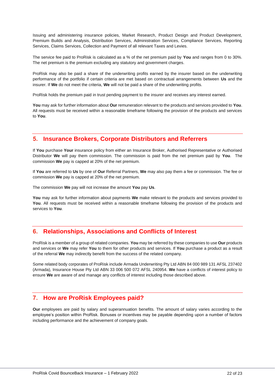Issuing and administering insurance policies, Market Research, Product Design and Product Development, Premium Builds and Analysis, Distribution Services, Administration Services, Compliance Services, Reporting Services, Claims Services, Collection and Payment of all relevant Taxes and Levies.

The service fee paid to ProRisk is calculated as a % of the net premium paid by **You** and ranges from 0 to 30%. The net premium is the premium excluding any statutory and government charges.

ProRisk may also be paid a share of the underwriting profits earned by the insurer based on the underwriting performance of the portfolio if certain criteria are met based on contractual arrangements between **Us** and the insurer. If **We** do not meet the criteria, **We** will not be paid a share of the underwriting profits.

ProRisk holds the premium paid in trust pending payment to the insurer and receives any interest earned.

**You** may ask for further information about **Our** remuneration relevant to the products and services provided to **You**. All requests must be received within a reasonable timeframe following the provision of the products and services to **You**.

### <span id="page-22-0"></span>**5. Insurance Brokers, Corporate Distributors and Referrers**

If **You** purchase **Your** insurance policy from either an Insurance Broker, Authorised Representative or Authorised Distributor **We** will pay them commission. The commission is paid from the net premium paid by **You**. The commission **We** pay is capped at 20% of the net premium.

If **You** are referred to **Us** by one of **Our** Referral Partners, **We** may also pay them a fee or commission. The fee or commission **We** pay is capped at 20% of the net premium.

The commission **We** pay will not increase the amount **You** pay **Us**.

**You** may ask for further information about payments **We** make relevant to the products and services provided to **You**. All requests must be received within a reasonable timeframe following the provision of the products and services to **You**.

## <span id="page-22-1"></span>**6. Relationships, Associations and Conflicts of Interest**

ProRisk is a member of a group of related companies. **You** may be referred by these companies to use **Our** products and services or **We** may refer **You** to them for other products and services. If **You** purchase a product as a result of the referral **We** may indirectly benefit from the success of the related company.

Some related body corporates of ProRisk include Armada Underwriting Pty Ltd ABN 84 000 989 131 AFSL 237402 (Armada), Insurance House Pty Ltd ABN 33 006 500 072 AFSL 240954. **We** have a conflicts of interest policy to ensure **We** are aware of and manage any conflicts of interest including those described above.

## <span id="page-22-2"></span>**7. How are ProRisk Employees paid?**

**Our** employees are paid by salary and superannuation benefits. The amount of salary varies according to the employee's position within ProRisk. Bonuses or incentives may be payable depending upon a number of factors including performance and the achievement of company goals.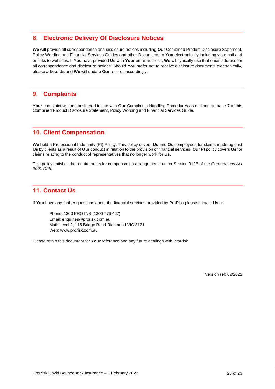### <span id="page-23-0"></span>**8. Electronic Delivery Of Disclosure Notices**

**We** will provide all correspondence and disclosure notices including **Our** Combined Product Disclosure Statement, Policy Wording and Financial Services Guides and other Documents to **You** electronically including via email and or links to w**e**bsites. If **You** have provided **Us** with **Your** email address, **We** will typically use that email address for all correspondence and disclosure notices. Should **You** prefer not to receive disclosure documents electronically, please advise **Us** and **We** will update **Our** records accordingly.

#### <span id="page-23-1"></span>**9. Complaints**

**Your** complaint will be considered in line with **Our** [Complaints Handling Procedures](https://www.prorisk.com.au/complaints-handling/) as outlined on page 7 of this Combined Product Disclosure Statement, Policy Wording and Financial Services Guide.

### <span id="page-23-2"></span>**10. Client Compensation**

**We** hold a Professional Indemnity (PI) Policy. This policy covers **Us** and **Our** employees for claims made against **Us** by clients as a result of **Our** conduct in relation to the provision of financial services. **Our** PI policy covers **Us** for claims relating to the conduct of representatives that no longer work for **Us**.

This policy satisfies the requirements for compensation arrangements under Section 912B of the *Corporations Act 2001 (Cth)*.

## <span id="page-23-3"></span>**11. Contact Us**

If **You** have any further questions about the financial services provided by ProRisk please contact **Us** at.

Phone: 1300 PRO INS (1300 776 467) Email: enquiries@prorisk.com.au Mail: Level 2, 115 Bridge Road Richmond VIC 3121 Web[: www.prorisk.com.au](http://www.prorisk.com.au/)

Please retain this document for **Your** reference and any future dealings with ProRisk.

Version ref: 02/2022